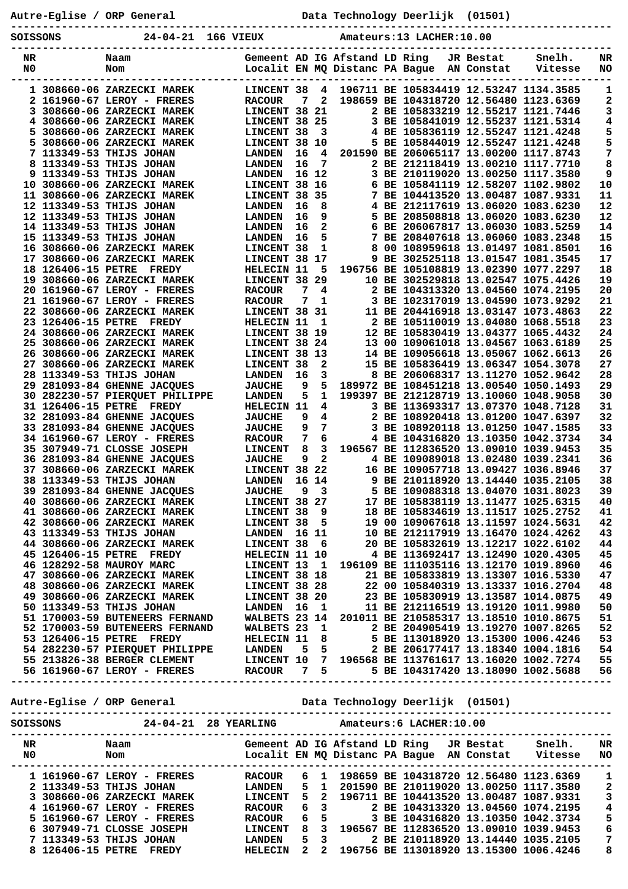Autre-Eglise / ORP General **Data Technology Deerlijk** (01501)

**----------------------------------------------------------------------------------------------- SOISSONS 24-04-21 166 VIEUX Amateurs:13 LACHER:10.00**

| NR          |                    | Naam                                                                                                                                                                                                                                           |                |    |              | Gemeent AD IG Afstand LD Ring  |                                        | JR Bestat  | Snelh.                                 | NR                      |
|-------------|--------------------|------------------------------------------------------------------------------------------------------------------------------------------------------------------------------------------------------------------------------------------------|----------------|----|--------------|--------------------------------|----------------------------------------|------------|----------------------------------------|-------------------------|
| N0          |                    | Nom                                                                                                                                                                                                                                            |                |    |              | Localit EN MQ Distanc PA Bague |                                        | AN Constat | Vitesse                                | NO                      |
|             |                    |                                                                                                                                                                                                                                                |                |    |              |                                |                                        |            |                                        |                         |
|             |                    |                                                                                                                                                                                                                                                |                |    |              |                                |                                        |            |                                        |                         |
|             |                    | 1 308660-06 ZARZECKI MAREK                                                                                                                                                                                                                     | LINCENT 38     |    | 4            |                                | 196711 BE 105834419 12.53247 1134.3585 |            |                                        | 1                       |
|             |                    | 2 161960-67 LEROY - FRERES                                                                                                                                                                                                                     | <b>RACOUR</b>  | 7  | $\mathbf{2}$ |                                |                                        |            | 198659 BE 104318720 12.56480 1123.6369 | 2                       |
|             |                    | 3 308660-06 ZARZECKI MAREK                                                                                                                                                                                                                     | LINCENT 38 21  |    |              |                                | 2 BE 105833219 12.55217 1121.7446      |            |                                        | 3                       |
|             |                    |                                                                                                                                                                                                                                                |                |    |              |                                |                                        |            |                                        |                         |
|             |                    | 4 308660-06 ZARZECKI MAREK                                                                                                                                                                                                                     | LINCENT 38 25  |    |              |                                |                                        |            | 3 BE 105841019 12.55237 1121.5314      | 4                       |
| 5.          |                    | 308660-06 ZARZECKI MAREK                                                                                                                                                                                                                       | LINCENT 38     |    | 3            |                                |                                        |            | 4 BE 105836119 12.55247 1121.4248      | 5                       |
|             |                    | 5 308660-06 ZARZECKI MAREK                                                                                                                                                                                                                     | LINCENT 38     |    | 10           |                                |                                        |            | 5 BE 105844019 12.55247 1121.4248      | 5                       |
|             |                    | 7 113349-53 THIJS JOHAN                                                                                                                                                                                                                        | <b>LANDEN</b>  | 16 | 4            |                                |                                        |            | 201590 BE 206065117 13.00200 1117.8743 | 7                       |
|             |                    |                                                                                                                                                                                                                                                |                |    |              |                                |                                        |            |                                        |                         |
|             |                    | <b>8 113349-53 THIJS JOHAN</b>                                                                                                                                                                                                                 | <b>LANDEN</b>  | 16 | 7            |                                |                                        |            | 2 BE 212118419 13.00210 1117.7710      | 8                       |
|             |                    | <b>9 113349-53 THIJS JOHAN</b>                                                                                                                                                                                                                 | <b>LANDEN</b>  |    | 16 12        |                                |                                        |            | 3 BE 210119020 13.00250 1117.3580      | 9                       |
|             |                    | 10 308660-06 ZARZECKI MAREK                                                                                                                                                                                                                    | LINCENT 38     |    | 16           |                                |                                        |            | 6 BE 105841119 12.58207 1102.9802      | ${\bf 10}$              |
|             |                    |                                                                                                                                                                                                                                                |                |    | - 35         |                                |                                        |            |                                        | 11                      |
|             |                    | 11 308660-06 ZARZECKI MAREK                                                                                                                                                                                                                    | LINCENT 38     |    |              |                                |                                        |            | 7 BE 104413520 13.00487 1087.9331      |                         |
|             |                    | 12 113349-53 THIJS JOHAN                                                                                                                                                                                                                       | <b>LANDEN</b>  | 16 | 8            |                                | 4 BE 212117619 13.06020 1083.6230      |            |                                        | 12                      |
|             |                    | <b>12 113349-53 THIJS JOHAN</b>                                                                                                                                                                                                                | <b>LANDEN</b>  | 16 | 9            | 5.                             |                                        |            | BE 208508818 13.06020 1083.6230        | 12                      |
|             |                    | <b>14 113349-53 THIJS JOHAN</b>                                                                                                                                                                                                                | <b>LANDEN</b>  | 16 | 2            |                                | 6 BE 206067817 13.06030 1083.5259      |            |                                        | 14                      |
|             |                    |                                                                                                                                                                                                                                                |                |    |              |                                |                                        |            |                                        |                         |
|             |                    | 15 113349-53 THIJS JOHAN                                                                                                                                                                                                                       | <b>LANDEN</b>  | 16 | 5            |                                | 7 BE 208407618 13.06060 1083.2348      |            |                                        | 15                      |
|             |                    | 16 308660-06 ZARZECKI MAREK                                                                                                                                                                                                                    | LINCENT 38     |    | 1            | 8                              | 00 108959618 13.01497 1081.8501        |            |                                        | 16                      |
|             |                    | 17 308660-06 ZARZECKI MAREK                                                                                                                                                                                                                    | LINCENT 38 17  |    |              |                                | 9 BE 302525118 13.01547 1081.3545      |            |                                        | 17                      |
|             | 18 126406-15 PETRE | <b>FREDY</b>                                                                                                                                                                                                                                   | HELECIN 11     |    | 5            |                                |                                        |            | 196756 BE 105108819 13.02390 1077.2297 | 18                      |
|             |                    |                                                                                                                                                                                                                                                |                |    |              |                                |                                        |            |                                        |                         |
|             |                    | 19 308660-06 ZARZECKI MAREK                                                                                                                                                                                                                    | LINCENT 38 29  |    |              |                                | 10 BE 302529818 13.02547 1075.4426     |            |                                        | 19                      |
|             |                    | 20 161960-67 LEROY - FRERES                                                                                                                                                                                                                    | <b>RACOUR</b>  | 7  | 4            |                                | 2 BE 104313320 13.04560 1074.2195      |            |                                        | 20                      |
|             |                    | 21 161960-67 LEROY - FRERES                                                                                                                                                                                                                    | <b>RACOUR</b>  | 7  | 1            |                                |                                        |            | 3 BE 102317019 13.04590 1073.9292      | 21                      |
|             |                    | 22 308660-06 ZARZECKI MAREK                                                                                                                                                                                                                    | LINCENT 38 31  |    |              |                                |                                        |            | 11 BE 204416918 13.03147 1073.4863     | 22                      |
|             |                    |                                                                                                                                                                                                                                                |                |    |              |                                |                                        |            |                                        |                         |
|             | 23 126406-15 PETRE | <b>FREDY</b>                                                                                                                                                                                                                                   | HELECIN 11     |    | 1            |                                | 2 BE 105110019 13.04080 1068.5518      |            |                                        | 23                      |
|             |                    | 24 308660-06 ZARZECKI MAREK                                                                                                                                                                                                                    | LINCENT 38 19  |    |              |                                |                                        |            | 12 BE 105830419 13.04377 1065.4432     | 24                      |
|             |                    | 25 308660-06 ZARZECKI MAREK                                                                                                                                                                                                                    | LINCENT 38     |    | 24           |                                | 13 00 109061018 13.04567 1063.6189     |            |                                        | 25                      |
|             |                    | 26 308660-06 ZARZECKI MAREK                                                                                                                                                                                                                    | LINCENT 38 13  |    |              |                                | 14 BE 109056618 13.05067 1062.6613     |            |                                        | 26                      |
|             |                    |                                                                                                                                                                                                                                                |                |    |              |                                |                                        |            |                                        |                         |
|             |                    | 27 308660-06 ZARZECKI MAREK                                                                                                                                                                                                                    | LINCENT 38     |    | 2            |                                | 15 BE 105836419 13.06347 1054.3078     |            |                                        | 27                      |
|             |                    | <b>28 113349-53 THIJS JOHAN</b>                                                                                                                                                                                                                | <b>LANDEN</b>  | 16 | 3            |                                |                                        |            | 8 BE 206068317 13.11270 1052.9642      | 28                      |
|             |                    | 29 281093-84 GHENNE JACQUES                                                                                                                                                                                                                    | <b>JAUCHE</b>  | 9  | 5            |                                |                                        |            | 189972 BE 108451218 13.00540 1050.1493 | 29                      |
|             |                    |                                                                                                                                                                                                                                                |                |    | $\mathbf{1}$ |                                |                                        |            |                                        | 30                      |
|             |                    | 30 282230-57 PIERQUET PHILIPPE                                                                                                                                                                                                                 | <b>LANDEN</b>  | 5  |              |                                | 199397 BE 212128719 13.10060 1048.9058 |            |                                        |                         |
|             | 31 126406-15 PETRE | <b>FREDY</b>                                                                                                                                                                                                                                   | HELECIN 11     |    | 4            |                                | 3 BE 113693317 13.07370 1048.7128      |            |                                        | 31                      |
|             |                    | 32 281093-84 GHENNE JACQUES                                                                                                                                                                                                                    | <b>JAUCHE</b>  | 9  | 4            |                                | 2 BE 108920418 13.01200 1047.6397      |            |                                        | 32                      |
|             |                    | 33 281093-84 GHENNE JACQUES                                                                                                                                                                                                                    | <b>JAUCHE</b>  | 9  | 7            |                                | 3 BE 108920118 13.01250 1047.1585      |            |                                        | 33                      |
|             |                    |                                                                                                                                                                                                                                                |                |    |              |                                |                                        |            |                                        |                         |
|             |                    | 34 161960-67 LEROY - FRERES                                                                                                                                                                                                                    | <b>RACOUR</b>  | 7  | 6            |                                |                                        |            | 4 BE 104316820 13.10350 1042.3734      | 34                      |
|             |                    | 35 307949-71 CLOSSE JOSEPH                                                                                                                                                                                                                     | <b>LINCENT</b> | 8  | 3            |                                |                                        |            | 196567 BE 112836520 13.09010 1039.9453 | 35                      |
|             |                    | 36 281093-84 GHENNE JACQUES                                                                                                                                                                                                                    | <b>JAUCHE</b>  | 9  | $\mathbf{2}$ |                                | 4 BE 109089018 13.02480 1039.2341      |            |                                        | 36                      |
|             |                    | 37 308660-06 ZARZECKI MAREK                                                                                                                                                                                                                    | LINCENT 38     |    | 22           |                                | 16 BE 109057718 13.09427 1036.8946     |            |                                        | 37                      |
|             |                    |                                                                                                                                                                                                                                                |                |    |              |                                |                                        |            |                                        |                         |
|             |                    | <b>38 113349-53 THIJS JOHAN</b>                                                                                                                                                                                                                | <b>LANDEN</b>  |    | 16 14        |                                | 9 BE 210118920 13.14440 1035.2105      |            |                                        | 38                      |
|             |                    | 39 281093-84 GHENNE JACQUES                                                                                                                                                                                                                    | <b>JAUCHE</b>  | 9  | 3            |                                |                                        |            | 5 BE 109088318 13.04070 1031.8023      | 39                      |
|             |                    | 40 308660-06 ZARZECKI MAREK                                                                                                                                                                                                                    | LINCENT 38 27  |    |              |                                | 17 BE 105838119 13.11477 1025.6315     |            |                                        | 40                      |
|             |                    | 41 308660-06 ZARZECKI MAREK                                                                                                                                                                                                                    | LINCENT 38     |    | 9            |                                | 18 BE 105834619 13.11517 1025.2752     |            |                                        | 41                      |
|             |                    |                                                                                                                                                                                                                                                |                |    |              |                                |                                        |            |                                        |                         |
|             |                    | 42 308660-06 ZARZECKI MAREK LINCENT 38 5 19 00 109067618 13.11597 1024.5631                                                                                                                                                                    |                |    |              |                                |                                        |            |                                        | 42                      |
|             |                    |                                                                                                                                                                                                                                                |                |    |              |                                |                                        |            |                                        | 43                      |
|             |                    |                                                                                                                                                                                                                                                |                |    |              |                                |                                        |            |                                        | 44                      |
|             |                    |                                                                                                                                                                                                                                                |                |    |              |                                |                                        |            |                                        | 45                      |
|             |                    |                                                                                                                                                                                                                                                |                |    |              |                                |                                        |            |                                        |                         |
|             |                    |                                                                                                                                                                                                                                                |                |    |              |                                |                                        |            |                                        | - 46                    |
|             |                    |                                                                                                                                                                                                                                                |                |    |              |                                |                                        |            |                                        | 47                      |
|             |                    |                                                                                                                                                                                                                                                |                |    |              |                                |                                        |            |                                        | 48                      |
|             |                    | 42 308660-06 ZARZECKI MAREK<br>43 113349-53 THIJS JOHAN<br>43 103860-06 ZARZECKI MAREK<br>44 308660-06 ZARZECKI MAREK<br>47 1024.6102<br>45 126406-15 PETRE FREDY<br>43 208660-06 ZARZECKI MAREK<br>47 38 40 308660-06 ZARZECKI MAREK<br>48 30 |                |    |              |                                |                                        |            |                                        | 49                      |
|             |                    |                                                                                                                                                                                                                                                |                |    |              |                                |                                        |            |                                        |                         |
|             |                    |                                                                                                                                                                                                                                                |                |    |              |                                |                                        |            |                                        | 50                      |
|             |                    |                                                                                                                                                                                                                                                |                |    |              |                                |                                        |            |                                        | 51                      |
|             |                    | 52 170003-59 BUTENEERS FERNAND WALBETS 23 1<br>53 126406-15 PETRE FREDY HELECIN 11 8<br>54 282230-57 PIERQUET PHILIPPE LANDEN 5 5 BE 113018920 13.15300 1006.4246 53<br>55 213826-38 BERGER CLEMENT LINCENT 10 7 196568 BE 113761617           |                |    |              |                                |                                        |            |                                        |                         |
|             |                    |                                                                                                                                                                                                                                                |                |    |              |                                |                                        |            |                                        |                         |
|             |                    |                                                                                                                                                                                                                                                |                |    |              |                                |                                        |            |                                        |                         |
|             |                    |                                                                                                                                                                                                                                                |                |    |              |                                |                                        |            |                                        |                         |
|             |                    |                                                                                                                                                                                                                                                |                |    |              |                                |                                        |            |                                        |                         |
|             |                    |                                                                                                                                                                                                                                                |                |    |              |                                |                                        |            |                                        |                         |
|             |                    |                                                                                                                                                                                                                                                |                |    |              |                                |                                        |            |                                        |                         |
|             |                    |                                                                                                                                                                                                                                                |                |    |              |                                |                                        |            |                                        |                         |
|             |                    |                                                                                                                                                                                                                                                |                |    |              |                                |                                        |            |                                        |                         |
|             |                    |                                                                                                                                                                                                                                                |                |    |              |                                |                                        |            |                                        |                         |
|             |                    |                                                                                                                                                                                                                                                |                |    |              |                                |                                        |            |                                        |                         |
|             |                    | SOISSONS 24-04-21 28 YEARLING Amateurs:6 LACHER:10.00                                                                                                                                                                                          |                |    |              |                                |                                        |            |                                        |                         |
|             |                    |                                                                                                                                                                                                                                                |                |    |              |                                |                                        |            |                                        |                         |
| $N_{\rm R}$ | <b>Naam</b>        |                                                                                                                                                                                                                                                |                |    |              |                                |                                        |            |                                        |                         |
|             |                    |                                                                                                                                                                                                                                                |                |    |              |                                |                                        |            |                                        |                         |
|             | N <sub>0</sub>     |                                                                                                                                                                                                                                                |                |    |              |                                |                                        |            |                                        |                         |
|             |                    |                                                                                                                                                                                                                                                |                |    |              |                                |                                        |            |                                        |                         |
|             |                    | 1 161960-67 LEROY - FRERES RACOUR 6 1 198659 BE 104318720 12.56480 1123.6369 1                                                                                                                                                                 |                |    |              |                                |                                        |            |                                        |                         |
|             |                    |                                                                                                                                                                                                                                                |                |    |              |                                |                                        |            |                                        | $\mathbf{2}$            |
|             |                    |                                                                                                                                                                                                                                                |                |    |              |                                |                                        |            |                                        |                         |
|             |                    |                                                                                                                                                                                                                                                |                |    |              |                                |                                        |            |                                        | $\mathsf 3$             |
|             |                    |                                                                                                                                                                                                                                                |                |    |              |                                |                                        |            |                                        | $\overline{\mathbf{4}}$ |
|             |                    |                                                                                                                                                                                                                                                |                |    |              |                                |                                        |            |                                        | 5                       |
|             |                    |                                                                                                                                                                                                                                                |                |    |              |                                |                                        |            |                                        |                         |
|             |                    | 2 113349-53 THIJS JOHAN LANDEN 5 1 201590 BE 210119020 13.00250 1117.3580<br>3 308660-06 ZARZECKI MAREK LINCENT 5 2 196711 BE 104413520 13.00487 1087.9331<br>4 161960-67 LEROY - FRERES RACOUR 6 3 2 BE 104313320 13.04560 1074.2             |                |    |              |                                |                                        |            |                                        | 6                       |

 **7 113349-53 THIJS JOHAN LANDEN 5 3 2 BE 210118920 13.14440 1035.2105 7 8 126406-15 PETRE FREDY HELECIN 2 2 196756 BE 113018920 13.15300 1006.4246 8**